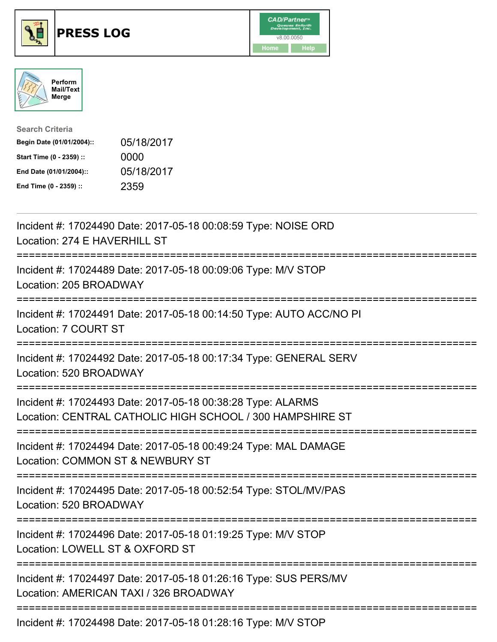





| <b>Search Criteria</b>    |            |
|---------------------------|------------|
| Begin Date (01/01/2004):: | 05/18/2017 |
| Start Time (0 - 2359) ::  | 0000       |
| End Date (01/01/2004)::   | 05/18/2017 |
| End Time (0 - 2359) ::    | 2359       |

| Incident #: 17024490 Date: 2017-05-18 00:08:59 Type: NOISE ORD<br>Location: 274 E HAVERHILL ST                                                                    |
|-------------------------------------------------------------------------------------------------------------------------------------------------------------------|
| Incident #: 17024489 Date: 2017-05-18 00:09:06 Type: M/V STOP<br>Location: 205 BROADWAY                                                                           |
| Incident #: 17024491 Date: 2017-05-18 00:14:50 Type: AUTO ACC/NO PI<br>Location: 7 COURT ST                                                                       |
| Incident #: 17024492 Date: 2017-05-18 00:17:34 Type: GENERAL SERV<br>Location: 520 BROADWAY                                                                       |
| Incident #: 17024493 Date: 2017-05-18 00:38:28 Type: ALARMS<br>Location: CENTRAL CATHOLIC HIGH SCHOOL / 300 HAMPSHIRE ST<br>:==================================== |
| Incident #: 17024494 Date: 2017-05-18 00:49:24 Type: MAL DAMAGE<br>Location: COMMON ST & NEWBURY ST                                                               |
| Incident #: 17024495 Date: 2017-05-18 00:52:54 Type: STOL/MV/PAS<br>Location: 520 BROADWAY                                                                        |
| :===============<br>Incident #: 17024496 Date: 2017-05-18 01:19:25 Type: M/V STOP<br>Location: LOWELL ST & OXFORD ST                                              |
| Incident #: 17024497 Date: 2017-05-18 01:26:16 Type: SUS PERS/MV<br>Location: AMERICAN TAXI / 326 BROADWAY                                                        |
|                                                                                                                                                                   |

Incident #: 17024498 Date: 2017-05-18 01:28:16 Type: M/V STOP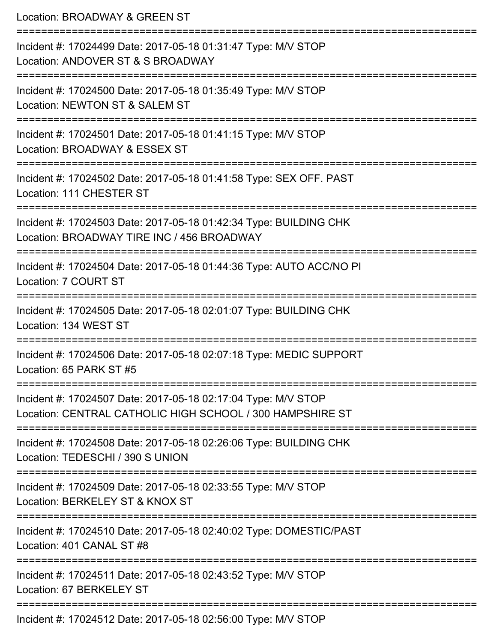Location: BROADWAY & GREEN ST =========================================================================== Incident #: 17024499 Date: 2017-05-18 01:31:47 Type: M/V STOP Location: ANDOVER ST & S BROADWAY =========================================================================== Incident #: 17024500 Date: 2017-05-18 01:35:49 Type: M/V STOP Location: NEWTON ST & SALEM ST =========================================================================== Incident #: 17024501 Date: 2017-05-18 01:41:15 Type: M/V STOP Location: BROADWAY & ESSEX ST =========================================================================== Incident #: 17024502 Date: 2017-05-18 01:41:58 Type: SEX OFF. PAST Location: 111 CHESTER ST =========================================================================== Incident #: 17024503 Date: 2017-05-18 01:42:34 Type: BUILDING CHK Location: BROADWAY TIRE INC / 456 BROADWAY =========================================================================== Incident #: 17024504 Date: 2017-05-18 01:44:36 Type: AUTO ACC/NO PI Location: 7 COURT ST =========================================================================== Incident #: 17024505 Date: 2017-05-18 02:01:07 Type: BUILDING CHK Location: 134 WEST ST =========================================================================== Incident #: 17024506 Date: 2017-05-18 02:07:18 Type: MEDIC SUPPORT Location: 65 PARK ST #5 =========================================================================== Incident #: 17024507 Date: 2017-05-18 02:17:04 Type: M/V STOP Location: CENTRAL CATHOLIC HIGH SCHOOL / 300 HAMPSHIRE ST =========================================================================== Incident #: 17024508 Date: 2017-05-18 02:26:06 Type: BUILDING CHK Location: TEDESCHI / 390 S UNION =========================================================================== Incident #: 17024509 Date: 2017-05-18 02:33:55 Type: M/V STOP Location: BERKELEY ST & KNOX ST =========================================================================== Incident #: 17024510 Date: 2017-05-18 02:40:02 Type: DOMESTIC/PAST Location: 401 CANAL ST #8 =========================================================================== Incident #: 17024511 Date: 2017-05-18 02:43:52 Type: M/V STOP Location: 67 BERKELEY ST =========================================================================== Incident #: 17024512 Date: 2017-05-18 02:56:00 Type: M/V STOP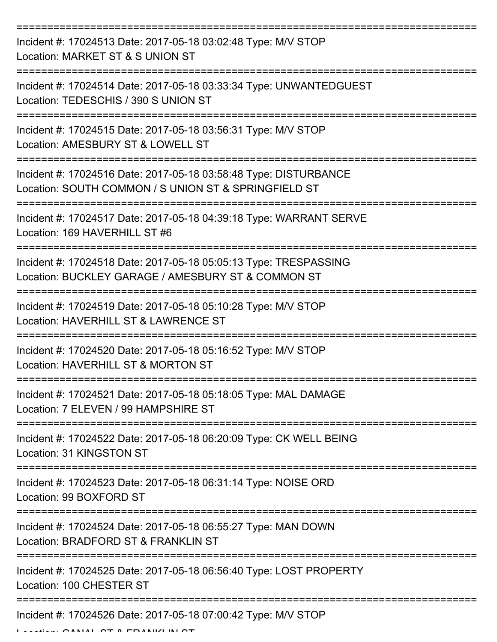| Incident #: 17024513 Date: 2017-05-18 03:02:48 Type: M/V STOP<br>Location: MARKET ST & S UNION ST                        |
|--------------------------------------------------------------------------------------------------------------------------|
| Incident #: 17024514 Date: 2017-05-18 03:33:34 Type: UNWANTEDGUEST<br>Location: TEDESCHIS / 390 S UNION ST               |
| Incident #: 17024515 Date: 2017-05-18 03:56:31 Type: M/V STOP<br>Location: AMESBURY ST & LOWELL ST                       |
| Incident #: 17024516 Date: 2017-05-18 03:58:48 Type: DISTURBANCE<br>Location: SOUTH COMMON / S UNION ST & SPRINGFIELD ST |
| Incident #: 17024517 Date: 2017-05-18 04:39:18 Type: WARRANT SERVE<br>Location: 169 HAVERHILL ST #6                      |
| Incident #: 17024518 Date: 2017-05-18 05:05:13 Type: TRESPASSING<br>Location: BUCKLEY GARAGE / AMESBURY ST & COMMON ST   |
| Incident #: 17024519 Date: 2017-05-18 05:10:28 Type: M/V STOP<br>Location: HAVERHILL ST & LAWRENCE ST                    |
| Incident #: 17024520 Date: 2017-05-18 05:16:52 Type: M/V STOP<br>Location: HAVERHILL ST & MORTON ST                      |
| Incident #: 17024521 Date: 2017-05-18 05:18:05 Type: MAL DAMAGE<br>Location: 7 ELEVEN / 99 HAMPSHIRE ST                  |
| Incident #: 17024522 Date: 2017-05-18 06:20:09 Type: CK WELL BEING<br>Location: 31 KINGSTON ST                           |
| Incident #: 17024523 Date: 2017-05-18 06:31:14 Type: NOISE ORD<br>Location: 99 BOXFORD ST                                |
| Incident #: 17024524 Date: 2017-05-18 06:55:27 Type: MAN DOWN<br>Location: BRADFORD ST & FRANKLIN ST                     |
| Incident #: 17024525 Date: 2017-05-18 06:56:40 Type: LOST PROPERTY<br>Location: 100 CHESTER ST                           |
| Incident #: 17024526 Date: 2017-05-18 07:00:42 Type: M/V STOP                                                            |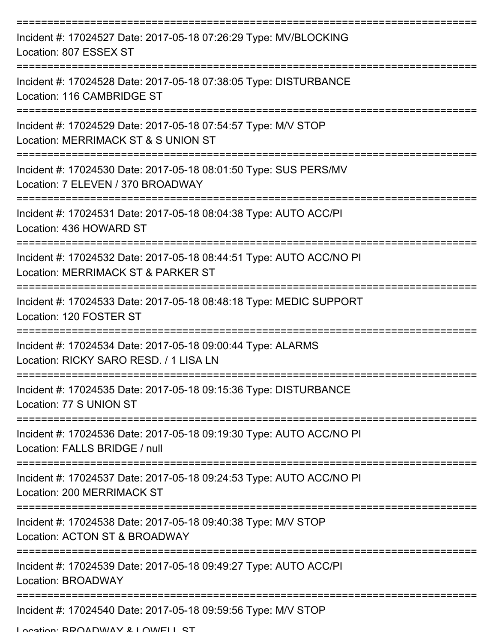| Incident #: 17024527 Date: 2017-05-18 07:26:29 Type: MV/BLOCKING<br>Location: 807 ESSEX ST                            |
|-----------------------------------------------------------------------------------------------------------------------|
| Incident #: 17024528 Date: 2017-05-18 07:38:05 Type: DISTURBANCE<br>Location: 116 CAMBRIDGE ST                        |
| Incident #: 17024529 Date: 2017-05-18 07:54:57 Type: M/V STOP<br>Location: MERRIMACK ST & S UNION ST                  |
| Incident #: 17024530 Date: 2017-05-18 08:01:50 Type: SUS PERS/MV<br>Location: 7 ELEVEN / 370 BROADWAY                 |
| Incident #: 17024531 Date: 2017-05-18 08:04:38 Type: AUTO ACC/PI<br>Location: 436 HOWARD ST                           |
| Incident #: 17024532 Date: 2017-05-18 08:44:51 Type: AUTO ACC/NO PI<br>Location: MERRIMACK ST & PARKER ST             |
| Incident #: 17024533 Date: 2017-05-18 08:48:18 Type: MEDIC SUPPORT<br>Location: 120 FOSTER ST                         |
| ============<br>Incident #: 17024534 Date: 2017-05-18 09:00:44 Type: ALARMS<br>Location: RICKY SARO RESD. / 1 LISA LN |
| Incident #: 17024535 Date: 2017-05-18 09:15:36 Type: DISTURBANCE<br>Location: 77 S UNION ST                           |
| Incident #: 17024536 Date: 2017-05-18 09:19:30 Type: AUTO ACC/NO PI<br>Location: FALLS BRIDGE / null                  |
| Incident #: 17024537 Date: 2017-05-18 09:24:53 Type: AUTO ACC/NO PI<br>Location: 200 MERRIMACK ST                     |
| Incident #: 17024538 Date: 2017-05-18 09:40:38 Type: M/V STOP<br>Location: ACTON ST & BROADWAY                        |
| Incident #: 17024539 Date: 2017-05-18 09:49:27 Type: AUTO ACC/PI<br>Location: BROADWAY                                |
| Incident #: 17024540 Date: 2017-05-18 09:59:56 Type: M/V STOP                                                         |

Location: BROADWAY & LOWELL ST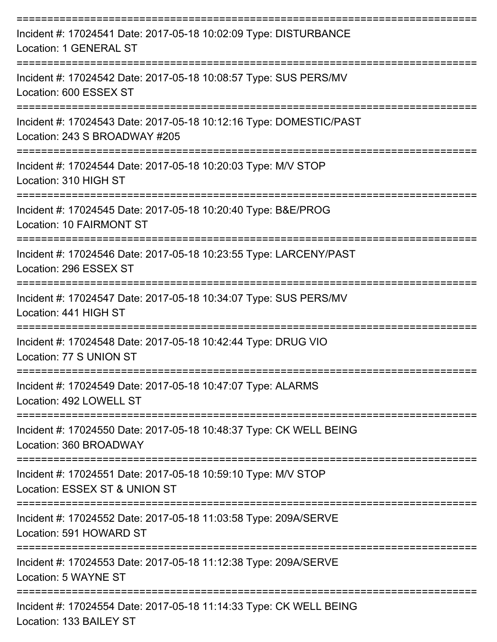| Incident #: 17024541 Date: 2017-05-18 10:02:09 Type: DISTURBANCE<br>Location: 1 GENERAL ST                    |
|---------------------------------------------------------------------------------------------------------------|
| Incident #: 17024542 Date: 2017-05-18 10:08:57 Type: SUS PERS/MV<br>Location: 600 ESSEX ST                    |
| Incident #: 17024543 Date: 2017-05-18 10:12:16 Type: DOMESTIC/PAST<br>Location: 243 S BROADWAY #205           |
| Incident #: 17024544 Date: 2017-05-18 10:20:03 Type: M/V STOP<br>Location: 310 HIGH ST                        |
| Incident #: 17024545 Date: 2017-05-18 10:20:40 Type: B&E/PROG<br>Location: 10 FAIRMONT ST                     |
| Incident #: 17024546 Date: 2017-05-18 10:23:55 Type: LARCENY/PAST<br>Location: 296 ESSEX ST                   |
| ----------------<br>Incident #: 17024547 Date: 2017-05-18 10:34:07 Type: SUS PERS/MV<br>Location: 441 HIGH ST |
| Incident #: 17024548 Date: 2017-05-18 10:42:44 Type: DRUG VIO<br>Location: 77 S UNION ST                      |
| Incident #: 17024549 Date: 2017-05-18 10:47:07 Type: ALARMS<br>Location: 492 LOWELL ST                        |
| Incident #: 17024550 Date: 2017-05-18 10:48:37 Type: CK WELL BEING<br>Location: 360 BROADWAY                  |
| Incident #: 17024551 Date: 2017-05-18 10:59:10 Type: M/V STOP<br>Location: ESSEX ST & UNION ST                |
| Incident #: 17024552 Date: 2017-05-18 11:03:58 Type: 209A/SERVE<br>Location: 591 HOWARD ST                    |
| Incident #: 17024553 Date: 2017-05-18 11:12:38 Type: 209A/SERVE<br>Location: 5 WAYNE ST                       |
| Incident #: 17024554 Date: 2017-05-18 11:14:33 Type: CK WELL BEING<br>Location: 133 BAILEY ST                 |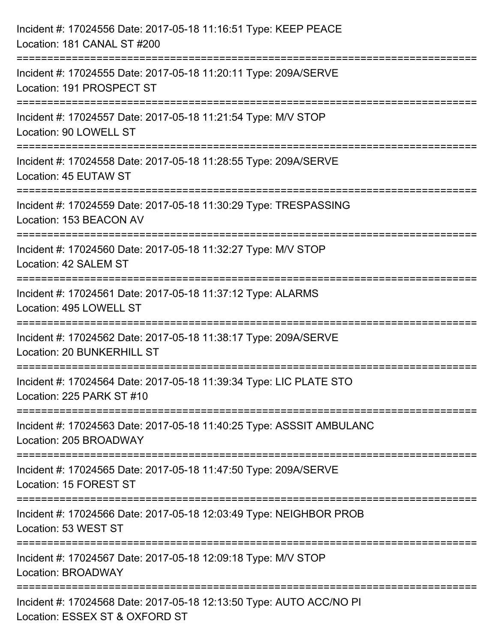| Incident #: 17024556 Date: 2017-05-18 11:16:51 Type: KEEP PEACE<br>Location: 181 CANAL ST #200                              |
|-----------------------------------------------------------------------------------------------------------------------------|
| --------------------<br>Incident #: 17024555 Date: 2017-05-18 11:20:11 Type: 209A/SERVE<br>Location: 191 PROSPECT ST        |
| Incident #: 17024557 Date: 2017-05-18 11:21:54 Type: M/V STOP<br>Location: 90 LOWELL ST<br>================================ |
| Incident #: 17024558 Date: 2017-05-18 11:28:55 Type: 209A/SERVE<br>Location: 45 EUTAW ST                                    |
| Incident #: 17024559 Date: 2017-05-18 11:30:29 Type: TRESPASSING<br>Location: 153 BEACON AV                                 |
| Incident #: 17024560 Date: 2017-05-18 11:32:27 Type: M/V STOP<br>Location: 42 SALEM ST                                      |
| Incident #: 17024561 Date: 2017-05-18 11:37:12 Type: ALARMS<br>Location: 495 LOWELL ST                                      |
| Incident #: 17024562 Date: 2017-05-18 11:38:17 Type: 209A/SERVE<br>Location: 20 BUNKERHILL ST                               |
| Incident #: 17024564 Date: 2017-05-18 11:39:34 Type: LIC PLATE STO<br>Location: 225 PARK ST #10                             |
| Incident #: 17024563 Date: 2017-05-18 11:40:25 Type: ASSSIT AMBULANC<br>Location: 205 BROADWAY                              |
| Incident #: 17024565 Date: 2017-05-18 11:47:50 Type: 209A/SERVE<br>Location: 15 FOREST ST                                   |
| Incident #: 17024566 Date: 2017-05-18 12:03:49 Type: NEIGHBOR PROB<br>Location: 53 WEST ST                                  |
| Incident #: 17024567 Date: 2017-05-18 12:09:18 Type: M/V STOP<br>Location: BROADWAY                                         |
| Incident #: 17024568 Date: 2017-05-18 12:13:50 Type: AUTO ACC/NO PI<br>Location: ESSEX ST & OXFORD ST                       |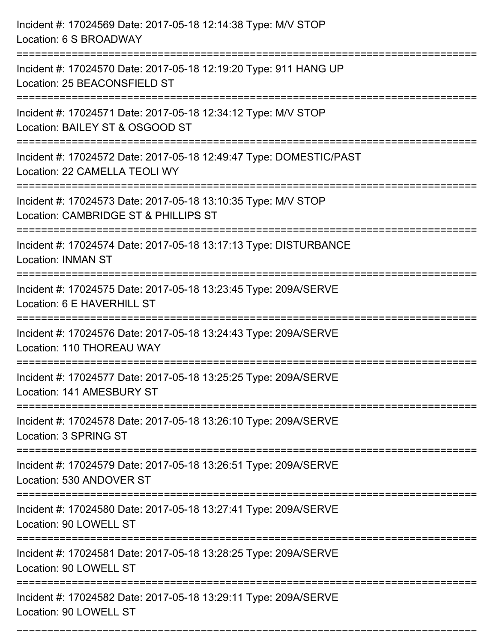| Incident #: 17024569 Date: 2017-05-18 12:14:38 Type: M/V STOP<br>Location: 6 S BROADWAY                               |
|-----------------------------------------------------------------------------------------------------------------------|
| =================<br>Incident #: 17024570 Date: 2017-05-18 12:19:20 Type: 911 HANG UP<br>Location: 25 BEACONSFIELD ST |
| Incident #: 17024571 Date: 2017-05-18 12:34:12 Type: M/V STOP<br>Location: BAILEY ST & OSGOOD ST                      |
| Incident #: 17024572 Date: 2017-05-18 12:49:47 Type: DOMESTIC/PAST<br>Location: 22 CAMELLA TEOLI WY                   |
| Incident #: 17024573 Date: 2017-05-18 13:10:35 Type: M/V STOP<br>Location: CAMBRIDGE ST & PHILLIPS ST                 |
| Incident #: 17024574 Date: 2017-05-18 13:17:13 Type: DISTURBANCE<br><b>Location: INMAN ST</b>                         |
| Incident #: 17024575 Date: 2017-05-18 13:23:45 Type: 209A/SERVE<br>Location: 6 E HAVERHILL ST                         |
| Incident #: 17024576 Date: 2017-05-18 13:24:43 Type: 209A/SERVE<br>Location: 110 THOREAU WAY                          |
| Incident #: 17024577 Date: 2017-05-18 13:25:25 Type: 209A/SERVE<br>Location: 141 AMESBURY ST                          |
| Incident #: 17024578 Date: 2017-05-18 13:26:10 Type: 209A/SERVE<br>Location: 3 SPRING ST                              |
| Incident #: 17024579 Date: 2017-05-18 13:26:51 Type: 209A/SERVE<br>Location: 530 ANDOVER ST                           |
| Incident #: 17024580 Date: 2017-05-18 13:27:41 Type: 209A/SERVE<br>Location: 90 LOWELL ST                             |
| Incident #: 17024581 Date: 2017-05-18 13:28:25 Type: 209A/SERVE<br>Location: 90 LOWELL ST                             |
| Incident #: 17024582 Date: 2017-05-18 13:29:11 Type: 209A/SERVE<br>Location: 90 LOWELL ST                             |

===========================================================================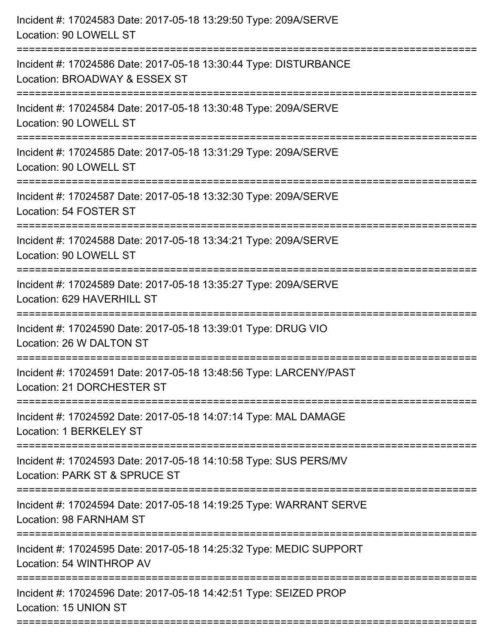| Incident #: 17024583 Date: 2017-05-18 13:29:50 Type: 209A/SERVE<br>Location: 90 LOWELL ST                                   |
|-----------------------------------------------------------------------------------------------------------------------------|
| Incident #: 17024586 Date: 2017-05-18 13:30:44 Type: DISTURBANCE<br>Location: BROADWAY & ESSEX ST                           |
| Incident #: 17024584 Date: 2017-05-18 13:30:48 Type: 209A/SERVE<br>Location: 90 LOWELL ST                                   |
| Incident #: 17024585 Date: 2017-05-18 13:31:29 Type: 209A/SERVE<br>Location: 90 LOWELL ST                                   |
| Incident #: 17024587 Date: 2017-05-18 13:32:30 Type: 209A/SERVE<br>Location: 54 FOSTER ST<br>------------------------------ |
| Incident #: 17024588 Date: 2017-05-18 13:34:21 Type: 209A/SERVE<br>Location: 90 LOWELL ST                                   |
| Incident #: 17024589 Date: 2017-05-18 13:35:27 Type: 209A/SERVE<br>Location: 629 HAVERHILL ST                               |
| Incident #: 17024590 Date: 2017-05-18 13:39:01 Type: DRUG VIO<br>Location: 26 W DALTON ST                                   |
| Incident #: 17024591 Date: 2017-05-18 13:48:56 Type: LARCENY/PAST<br>Location: 21 DORCHESTER ST                             |
| Incident #: 17024592 Date: 2017-05-18 14:07:14 Type: MAL DAMAGE<br>Location: 1 BERKELEY ST                                  |
| Incident #: 17024593 Date: 2017-05-18 14:10:58 Type: SUS PERS/MV<br>Location: PARK ST & SPRUCE ST                           |
| Incident #: 17024594 Date: 2017-05-18 14:19:25 Type: WARRANT SERVE<br>Location: 98 FARNHAM ST                               |
| Incident #: 17024595 Date: 2017-05-18 14:25:32 Type: MEDIC SUPPORT<br>Location: 54 WINTHROP AV                              |
| Incident #: 17024596 Date: 2017-05-18 14:42:51 Type: SEIZED PROP<br>Location: 15 UNION ST                                   |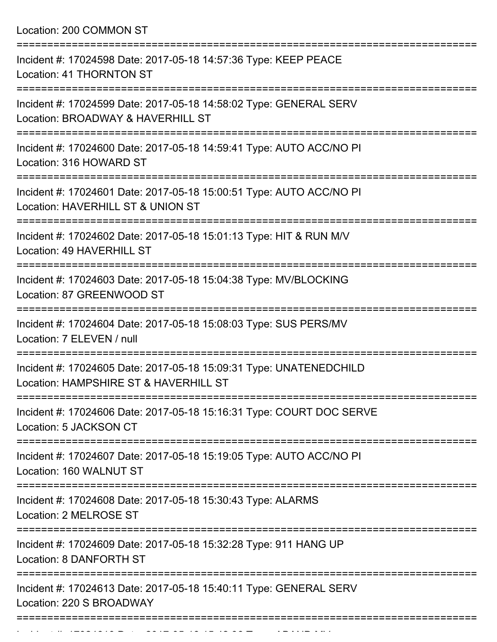Location: 200 COMMON ST

| Incident #: 17024598 Date: 2017-05-18 14:57:36 Type: KEEP PEACE<br><b>Location: 41 THORNTON ST</b>                           |
|------------------------------------------------------------------------------------------------------------------------------|
| Incident #: 17024599 Date: 2017-05-18 14:58:02 Type: GENERAL SERV<br>Location: BROADWAY & HAVERHILL ST                       |
| Incident #: 17024600 Date: 2017-05-18 14:59:41 Type: AUTO ACC/NO PI<br>Location: 316 HOWARD ST                               |
| Incident #: 17024601 Date: 2017-05-18 15:00:51 Type: AUTO ACC/NO PI<br>Location: HAVERHILL ST & UNION ST                     |
| Incident #: 17024602 Date: 2017-05-18 15:01:13 Type: HIT & RUN M/V<br>Location: 49 HAVERHILL ST                              |
| Incident #: 17024603 Date: 2017-05-18 15:04:38 Type: MV/BLOCKING<br>Location: 87 GREENWOOD ST                                |
| Incident #: 17024604 Date: 2017-05-18 15:08:03 Type: SUS PERS/MV<br>Location: 7 ELEVEN / null                                |
| =============<br>Incident #: 17024605 Date: 2017-05-18 15:09:31 Type: UNATENEDCHILD<br>Location: HAMPSHIRE ST & HAVERHILL ST |
| Incident #: 17024606 Date: 2017-05-18 15:16:31 Type: COURT DOC SERVE<br>Location: 5 JACKSON CT                               |
| :==================<br>Incident #: 17024607 Date: 2017-05-18 15:19:05 Type: AUTO ACC/NO PI<br>Location: 160 WALNUT ST        |
| Incident #: 17024608 Date: 2017-05-18 15:30:43 Type: ALARMS<br>Location: 2 MELROSE ST                                        |
| Incident #: 17024609 Date: 2017-05-18 15:32:28 Type: 911 HANG UP<br>Location: 8 DANFORTH ST                                  |
| Incident #: 17024613 Date: 2017-05-18 15:40:11 Type: GENERAL SERV<br>Location: 220 S BROADWAY                                |
|                                                                                                                              |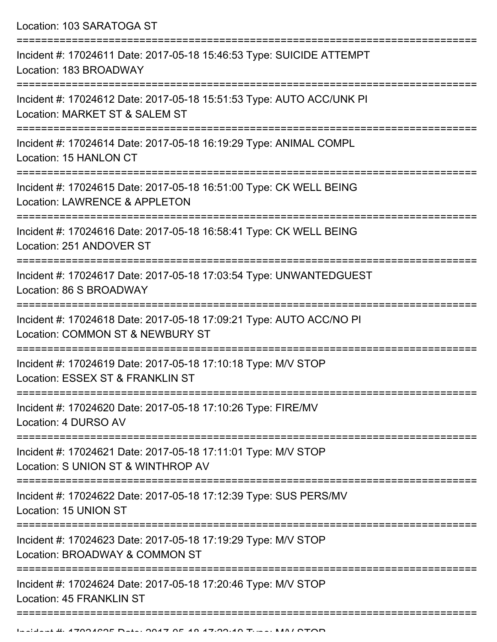Location: 103 SARATOGA ST

| Incident #: 17024611 Date: 2017-05-18 15:46:53 Type: SUICIDE ATTEMPT<br>Location: 183 BROADWAY                                           |
|------------------------------------------------------------------------------------------------------------------------------------------|
| Incident #: 17024612 Date: 2017-05-18 15:51:53 Type: AUTO ACC/UNK PI<br>Location: MARKET ST & SALEM ST                                   |
| Incident #: 17024614 Date: 2017-05-18 16:19:29 Type: ANIMAL COMPL<br>Location: 15 HANLON CT                                              |
| Incident #: 17024615 Date: 2017-05-18 16:51:00 Type: CK WELL BEING<br>Location: LAWRENCE & APPLETON                                      |
| Incident #: 17024616 Date: 2017-05-18 16:58:41 Type: CK WELL BEING<br>Location: 251 ANDOVER ST                                           |
| Incident #: 17024617 Date: 2017-05-18 17:03:54 Type: UNWANTEDGUEST<br>Location: 86 S BROADWAY                                            |
| Incident #: 17024618 Date: 2017-05-18 17:09:21 Type: AUTO ACC/NO PI<br>Location: COMMON ST & NEWBURY ST                                  |
| Incident #: 17024619 Date: 2017-05-18 17:10:18 Type: M/V STOP<br>Location: ESSEX ST & FRANKLIN ST                                        |
| Incident #: 17024620 Date: 2017-05-18 17:10:26 Type: FIRE/MV<br>Location: 4 DURSO AV                                                     |
| =============<br>Incident #: 17024621 Date: 2017-05-18 17:11:01 Type: M/V STOP<br>Location: S UNION ST & WINTHROP AV                     |
| Incident #: 17024622 Date: 2017-05-18 17:12:39 Type: SUS PERS/MV<br>Location: 15 UNION ST                                                |
| :====================================<br>Incident #: 17024623 Date: 2017-05-18 17:19:29 Type: M/V STOP<br>Location: BROADWAY & COMMON ST |
| Incident #: 17024624 Date: 2017-05-18 17:20:46 Type: M/V STOP<br>Location: 45 FRANKLIN ST                                                |
|                                                                                                                                          |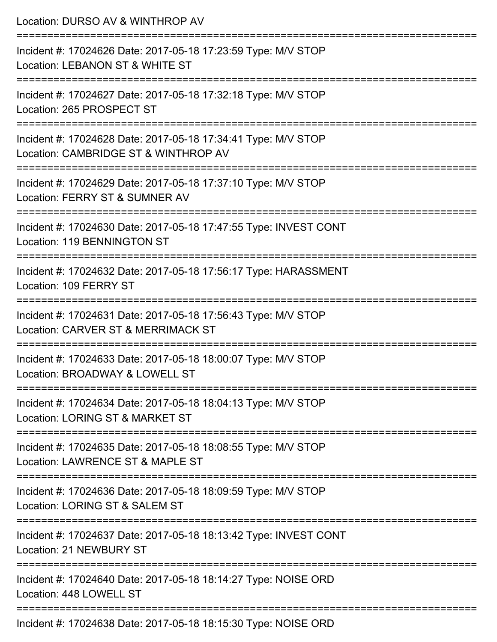| Location: DURSO AV & WINTHROP AV                                                                      |
|-------------------------------------------------------------------------------------------------------|
| Incident #: 17024626 Date: 2017-05-18 17:23:59 Type: M/V STOP<br>Location: LEBANON ST & WHITE ST      |
| Incident #: 17024627 Date: 2017-05-18 17:32:18 Type: M/V STOP<br>Location: 265 PROSPECT ST            |
| Incident #: 17024628 Date: 2017-05-18 17:34:41 Type: M/V STOP<br>Location: CAMBRIDGE ST & WINTHROP AV |
| Incident #: 17024629 Date: 2017-05-18 17:37:10 Type: M/V STOP<br>Location: FERRY ST & SUMNER AV       |
| Incident #: 17024630 Date: 2017-05-18 17:47:55 Type: INVEST CONT<br>Location: 119 BENNINGTON ST       |
| Incident #: 17024632 Date: 2017-05-18 17:56:17 Type: HARASSMENT<br>Location: 109 FERRY ST             |
| Incident #: 17024631 Date: 2017-05-18 17:56:43 Type: M/V STOP<br>Location: CARVER ST & MERRIMACK ST   |
| Incident #: 17024633 Date: 2017-05-18 18:00:07 Type: M/V STOP<br>Location: BROADWAY & LOWELL ST       |
| Incident #: 17024634 Date: 2017-05-18 18:04:13 Type: M/V STOP<br>Location: LORING ST & MARKET ST      |
| Incident #: 17024635 Date: 2017-05-18 18:08:55 Type: M/V STOP<br>Location: LAWRENCE ST & MAPLE ST     |
| Incident #: 17024636 Date: 2017-05-18 18:09:59 Type: M/V STOP<br>Location: LORING ST & SALEM ST       |
| Incident #: 17024637 Date: 2017-05-18 18:13:42 Type: INVEST CONT<br>Location: 21 NEWBURY ST           |
| Incident #: 17024640 Date: 2017-05-18 18:14:27 Type: NOISE ORD<br>Location: 448 LOWELL ST             |
| Incident #: 17024638 Date: 2017-05-18 18:15:30 Type: NOISE ORD                                        |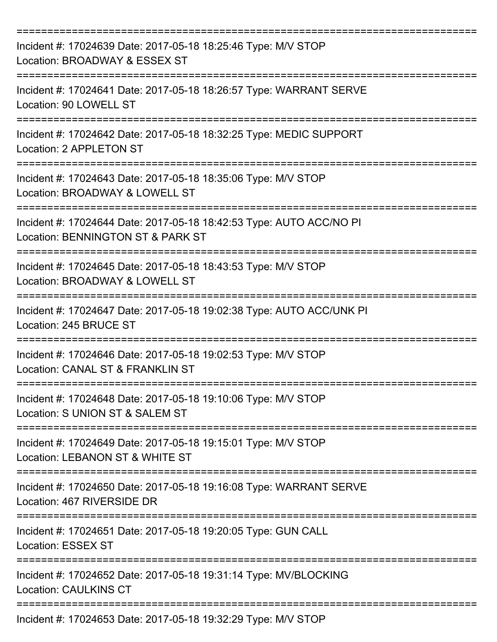| Incident #: 17024639 Date: 2017-05-18 18:25:46 Type: M/V STOP<br>Location: BROADWAY & ESSEX ST           |
|----------------------------------------------------------------------------------------------------------|
| Incident #: 17024641 Date: 2017-05-18 18:26:57 Type: WARRANT SERVE<br>Location: 90 LOWELL ST             |
| Incident #: 17024642 Date: 2017-05-18 18:32:25 Type: MEDIC SUPPORT<br>Location: 2 APPLETON ST            |
| Incident #: 17024643 Date: 2017-05-18 18:35:06 Type: M/V STOP<br>Location: BROADWAY & LOWELL ST          |
| Incident #: 17024644 Date: 2017-05-18 18:42:53 Type: AUTO ACC/NO PI<br>Location: BENNINGTON ST & PARK ST |
| Incident #: 17024645 Date: 2017-05-18 18:43:53 Type: M/V STOP<br>Location: BROADWAY & LOWELL ST          |
| Incident #: 17024647 Date: 2017-05-18 19:02:38 Type: AUTO ACC/UNK PI<br>Location: 245 BRUCE ST           |
| Incident #: 17024646 Date: 2017-05-18 19:02:53 Type: M/V STOP<br>Location: CANAL ST & FRANKLIN ST        |
| Incident #: 17024648 Date: 2017-05-18 19:10:06 Type: M/V STOP<br>Location: S UNION ST & SALEM ST         |
| Incident #: 17024649 Date: 2017-05-18 19:15:01 Type: M/V STOP<br>Location: LEBANON ST & WHITE ST         |
| Incident #: 17024650 Date: 2017-05-18 19:16:08 Type: WARRANT SERVE<br>Location: 467 RIVERSIDE DR         |
| Incident #: 17024651 Date: 2017-05-18 19:20:05 Type: GUN CALL<br><b>Location: ESSEX ST</b>               |
| Incident #: 17024652 Date: 2017-05-18 19:31:14 Type: MV/BLOCKING<br><b>Location: CAULKINS CT</b>         |
| Incident #: 17024653 Date: 2017-05-18 19:32:29 Type: M/V STOP                                            |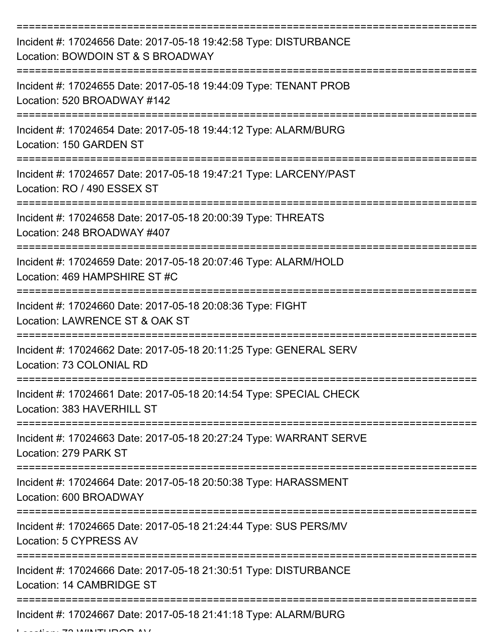| Incident #: 17024656 Date: 2017-05-18 19:42:58 Type: DISTURBANCE<br>Location: BOWDOIN ST & S BROADWAY |
|-------------------------------------------------------------------------------------------------------|
| Incident #: 17024655 Date: 2017-05-18 19:44:09 Type: TENANT PROB<br>Location: 520 BROADWAY #142       |
| Incident #: 17024654 Date: 2017-05-18 19:44:12 Type: ALARM/BURG<br>Location: 150 GARDEN ST            |
| Incident #: 17024657 Date: 2017-05-18 19:47:21 Type: LARCENY/PAST<br>Location: RO / 490 ESSEX ST      |
| Incident #: 17024658 Date: 2017-05-18 20:00:39 Type: THREATS<br>Location: 248 BROADWAY #407           |
| Incident #: 17024659 Date: 2017-05-18 20:07:46 Type: ALARM/HOLD<br>Location: 469 HAMPSHIRE ST#C       |
| Incident #: 17024660 Date: 2017-05-18 20:08:36 Type: FIGHT<br>Location: LAWRENCE ST & OAK ST          |
| Incident #: 17024662 Date: 2017-05-18 20:11:25 Type: GENERAL SERV<br>Location: 73 COLONIAL RD         |
| Incident #: 17024661 Date: 2017-05-18 20:14:54 Type: SPECIAL CHECK<br>Location: 383 HAVERHILL ST      |
| Incident #: 17024663 Date: 2017-05-18 20:27:24 Type: WARRANT SERVE<br>Location: 279 PARK ST           |
| Incident #: 17024664 Date: 2017-05-18 20:50:38 Type: HARASSMENT<br>Location: 600 BROADWAY             |
| Incident #: 17024665 Date: 2017-05-18 21:24:44 Type: SUS PERS/MV<br>Location: 5 CYPRESS AV            |
| Incident #: 17024666 Date: 2017-05-18 21:30:51 Type: DISTURBANCE<br>Location: 14 CAMBRIDGE ST         |
| Incident #: 17024667 Date: 2017-05-18 21:41:18 Type: ALARM/BURG                                       |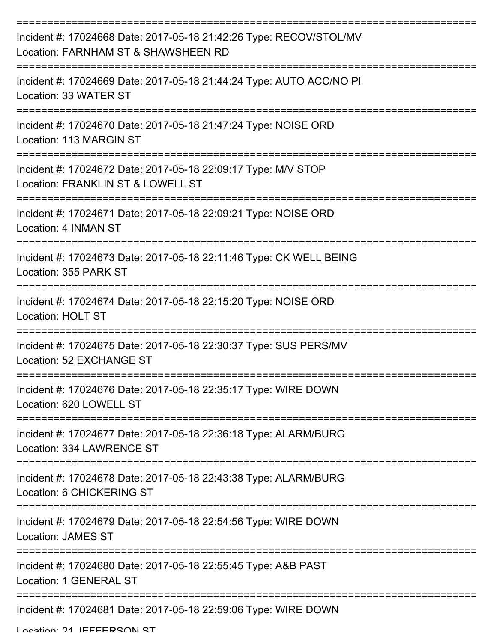| Incident #: 17024668 Date: 2017-05-18 21:42:26 Type: RECOV/STOL/MV<br>Location: FARNHAM ST & SHAWSHEEN RD |
|-----------------------------------------------------------------------------------------------------------|
| Incident #: 17024669 Date: 2017-05-18 21:44:24 Type: AUTO ACC/NO PI<br>Location: 33 WATER ST              |
| Incident #: 17024670 Date: 2017-05-18 21:47:24 Type: NOISE ORD<br>Location: 113 MARGIN ST                 |
| Incident #: 17024672 Date: 2017-05-18 22:09:17 Type: M/V STOP<br>Location: FRANKLIN ST & LOWELL ST        |
| Incident #: 17024671 Date: 2017-05-18 22:09:21 Type: NOISE ORD<br>Location: 4 INMAN ST                    |
| Incident #: 17024673 Date: 2017-05-18 22:11:46 Type: CK WELL BEING<br>Location: 355 PARK ST               |
| Incident #: 17024674 Date: 2017-05-18 22:15:20 Type: NOISE ORD<br><b>Location: HOLT ST</b>                |
| Incident #: 17024675 Date: 2017-05-18 22:30:37 Type: SUS PERS/MV<br>Location: 52 EXCHANGE ST              |
| Incident #: 17024676 Date: 2017-05-18 22:35:17 Type: WIRE DOWN<br>Location: 620 LOWELL ST                 |
| Incident #: 17024677 Date: 2017-05-18 22:36:18 Type: ALARM/BURG<br>Location: 334 LAWRENCE ST              |
| Incident #: 17024678 Date: 2017-05-18 22:43:38 Type: ALARM/BURG<br>Location: 6 CHICKERING ST              |
| Incident #: 17024679 Date: 2017-05-18 22:54:56 Type: WIRE DOWN<br><b>Location: JAMES ST</b>               |
| Incident #: 17024680 Date: 2017-05-18 22:55:45 Type: A&B PAST<br>Location: 1 GENERAL ST                   |
| Incident #: 17024681 Date: 2017-05-18 22:59:06 Type: WIRE DOWN                                            |

Location: 21 IEFFEDRONI ST